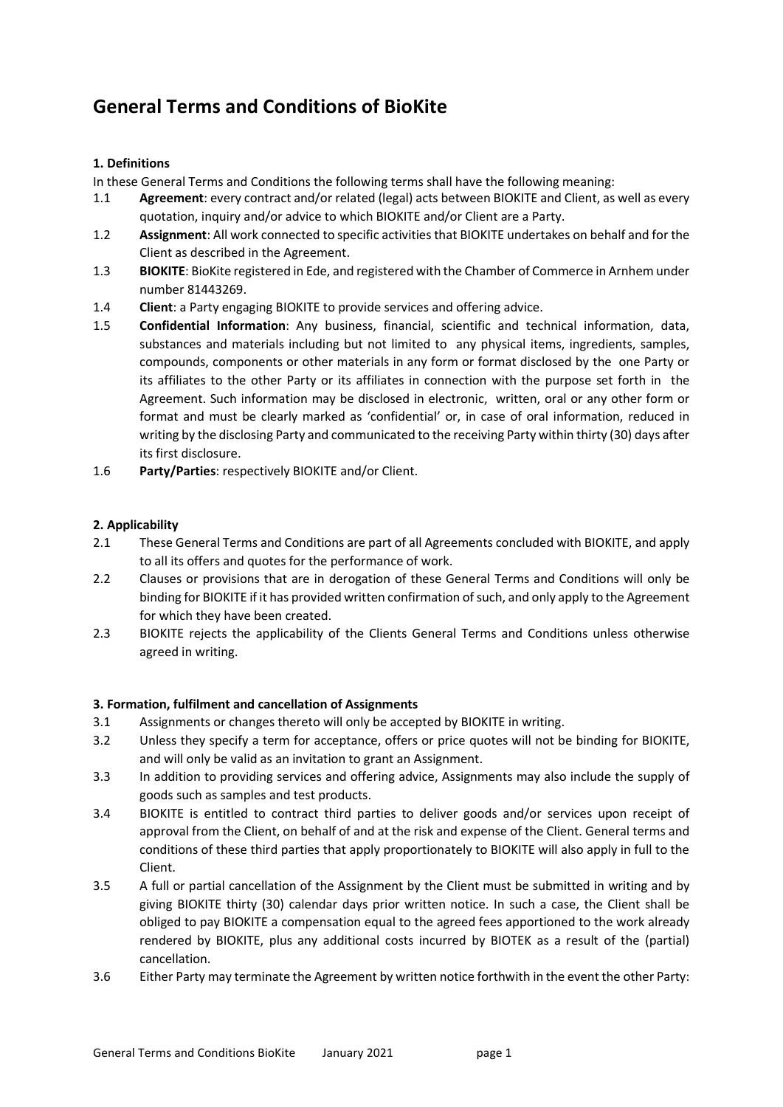# General Terms and Conditions of BioKite

### 1. Definitions

In these General Terms and Conditions the following terms shall have the following meaning:

- 1.1 Agreement: every contract and/or related (legal) acts between BIOKITE and Client, as well as every quotation, inquiry and/or advice to which BIOKITE and/or Client are a Party.
- 1.2 Assignment: All work connected to specific activities that BIOKITE undertakes on behalf and for the Client as described in the Agreement.
- 1.3 BIOKITE: BioKite registered in Ede, and registered with the Chamber of Commerce in Arnhem under number 81443269.
- 1.4 Client: a Party engaging BIOKITE to provide services and offering advice.
- 1.5 Confidential Information: Any business, financial, scientific and technical information, data, substances and materials including but not limited to any physical items, ingredients, samples, compounds, components or other materials in any form or format disclosed by the one Party or its affiliates to the other Party or its affiliates in connection with the purpose set forth in the Agreement. Such information may be disclosed in electronic, written, oral or any other form or format and must be clearly marked as 'confidential' or, in case of oral information, reduced in writing by the disclosing Party and communicated to the receiving Party within thirty (30) days after its first disclosure.
- 1.6 Party/Parties: respectively BIOKITE and/or Client.

#### 2. Applicability

- 2.1 These General Terms and Conditions are part of all Agreements concluded with BIOKITE, and apply to all its offers and quotes for the performance of work.
- 2.2 Clauses or provisions that are in derogation of these General Terms and Conditions will only be binding for BIOKITE if it has provided written confirmation of such, and only apply to the Agreement for which they have been created.
- 2.3 BIOKITE rejects the applicability of the Clients General Terms and Conditions unless otherwise agreed in writing.

### 3. Formation, fulfilment and cancellation of Assignments

- 3.1 Assignments or changes thereto will only be accepted by BIOKITE in writing.
- 3.2 Unless they specify a term for acceptance, offers or price quotes will not be binding for BIOKITE, and will only be valid as an invitation to grant an Assignment.
- 3.3 In addition to providing services and offering advice, Assignments may also include the supply of goods such as samples and test products.
- 3.4 BIOKITE is entitled to contract third parties to deliver goods and/or services upon receipt of approval from the Client, on behalf of and at the risk and expense of the Client. General terms and conditions of these third parties that apply proportionately to BIOKITE will also apply in full to the Client.
- 3.5 A full or partial cancellation of the Assignment by the Client must be submitted in writing and by giving BIOKITE thirty (30) calendar days prior written notice. In such a case, the Client shall be obliged to pay BIOKITE a compensation equal to the agreed fees apportioned to the work already rendered by BIOKITE, plus any additional costs incurred by BIOTEK as a result of the (partial) cancellation.
- 3.6 Either Party may terminate the Agreement by written notice forthwith in the event the other Party: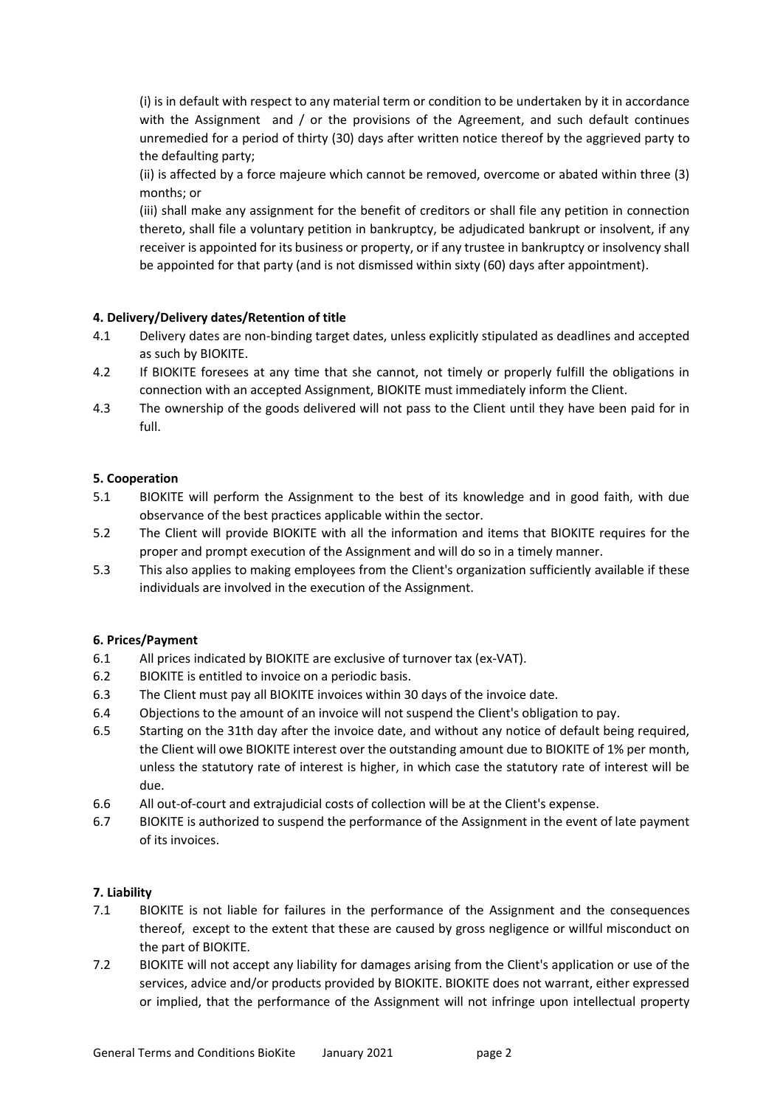(i) is in default with respect to any material term or condition to be undertaken by it in accordance with the Assignment and / or the provisions of the Agreement, and such default continues unremedied for a period of thirty (30) days after written notice thereof by the aggrieved party to the defaulting party;

(ii) is affected by a force majeure which cannot be removed, overcome or abated within three (3) months; or

(iii) shall make any assignment for the benefit of creditors or shall file any petition in connection thereto, shall file a voluntary petition in bankruptcy, be adjudicated bankrupt or insolvent, if any receiver is appointed for its business or property, or if any trustee in bankruptcy or insolvency shall be appointed for that party (and is not dismissed within sixty (60) days after appointment).

## 4. Delivery/Delivery dates/Retention of title

- 4.1 Delivery dates are non-binding target dates, unless explicitly stipulated as deadlines and accepted as such by BIOKITE.
- 4.2 If BIOKITE foresees at any time that she cannot, not timely or properly fulfill the obligations in connection with an accepted Assignment, BIOKITE must immediately inform the Client.
- 4.3 The ownership of the goods delivered will not pass to the Client until they have been paid for in full.

## 5. Cooperation

- 5.1 BIOKITE will perform the Assignment to the best of its knowledge and in good faith, with due observance of the best practices applicable within the sector.
- 5.2 The Client will provide BIOKITE with all the information and items that BIOKITE requires for the proper and prompt execution of the Assignment and will do so in a timely manner.
- 5.3 This also applies to making employees from the Client's organization sufficiently available if these individuals are involved in the execution of the Assignment.

### 6. Prices/Payment

- 6.1 All prices indicated by BIOKITE are exclusive of turnover tax (ex-VAT).
- 6.2 BIOKITE is entitled to invoice on a periodic basis.
- 6.3 The Client must pay all BIOKITE invoices within 30 days of the invoice date.
- 6.4 Objections to the amount of an invoice will not suspend the Client's obligation to pay.
- 6.5 Starting on the 31th day after the invoice date, and without any notice of default being required, the Client will owe BIOKITE interest over the outstanding amount due to BIOKITE of 1% per month, unless the statutory rate of interest is higher, in which case the statutory rate of interest will be due.
- 6.6 All out-of-court and extrajudicial costs of collection will be at the Client's expense.
- 6.7 BIOKITE is authorized to suspend the performance of the Assignment in the event of late payment of its invoices.

### 7. Liability

- 7.1 BIOKITE is not liable for failures in the performance of the Assignment and the consequences thereof, except to the extent that these are caused by gross negligence or willful misconduct on the part of BIOKITE.
- 7.2 BIOKITE will not accept any liability for damages arising from the Client's application or use of the services, advice and/or products provided by BIOKITE. BIOKITE does not warrant, either expressed or implied, that the performance of the Assignment will not infringe upon intellectual property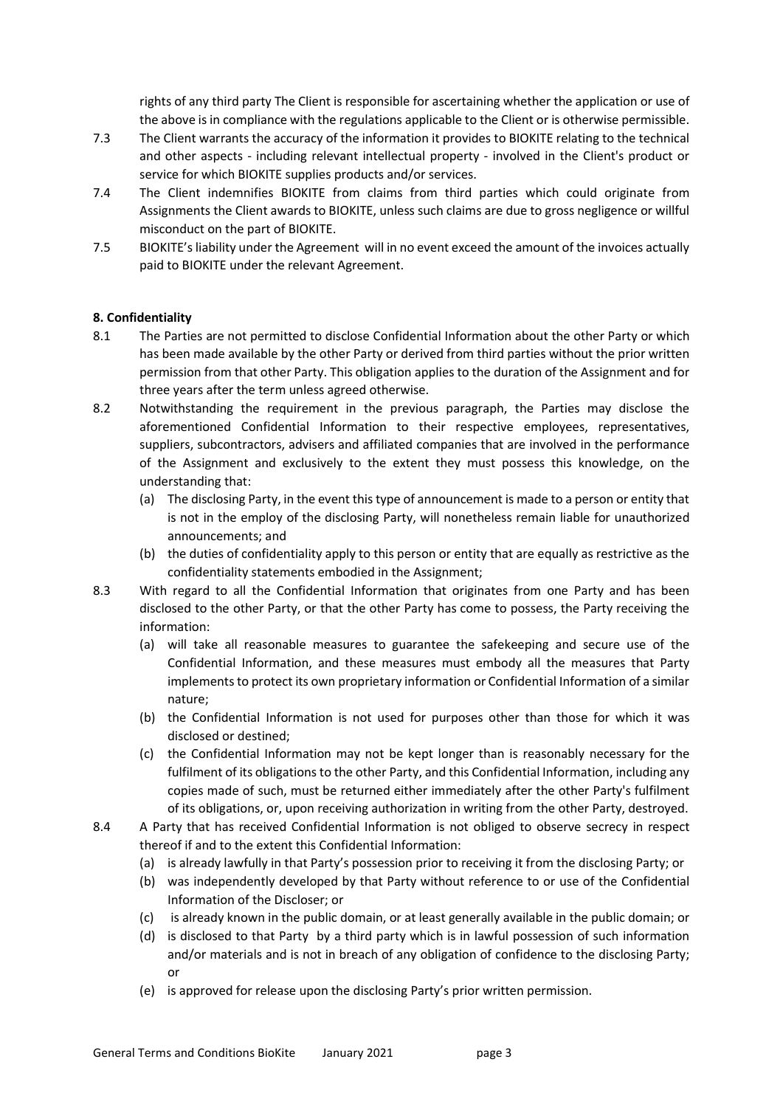rights of any third party The Client is responsible for ascertaining whether the application or use of the above is in compliance with the regulations applicable to the Client or is otherwise permissible.

- 7.3 The Client warrants the accuracy of the information it provides to BIOKITE relating to the technical and other aspects - including relevant intellectual property - involved in the Client's product or service for which BIOKITE supplies products and/or services.
- 7.4 The Client indemnifies BIOKITE from claims from third parties which could originate from Assignments the Client awards to BIOKITE, unless such claims are due to gross negligence or willful misconduct on the part of BIOKITE.
- 7.5 BIOKITE's liability under the Agreement will in no event exceed the amount of the invoices actually paid to BIOKITE under the relevant Agreement.

## 8. Confidentiality

- 8.1 The Parties are not permitted to disclose Confidential Information about the other Party or which has been made available by the other Party or derived from third parties without the prior written permission from that other Party. This obligation applies to the duration of the Assignment and for three years after the term unless agreed otherwise.
- 8.2 Notwithstanding the requirement in the previous paragraph, the Parties may disclose the aforementioned Confidential Information to their respective employees, representatives, suppliers, subcontractors, advisers and affiliated companies that are involved in the performance of the Assignment and exclusively to the extent they must possess this knowledge, on the understanding that:
	- (a) The disclosing Party, in the event this type of announcement is made to a person or entity that is not in the employ of the disclosing Party, will nonetheless remain liable for unauthorized announcements; and
	- (b) the duties of confidentiality apply to this person or entity that are equally as restrictive as the confidentiality statements embodied in the Assignment;
- 8.3 With regard to all the Confidential Information that originates from one Party and has been disclosed to the other Party, or that the other Party has come to possess, the Party receiving the information:
	- (a) will take all reasonable measures to guarantee the safekeeping and secure use of the Confidential Information, and these measures must embody all the measures that Party implements to protect its own proprietary information or Confidential Information of a similar nature;
	- (b) the Confidential Information is not used for purposes other than those for which it was disclosed or destined;
	- (c) the Confidential Information may not be kept longer than is reasonably necessary for the fulfilment of its obligations to the other Party, and this Confidential Information, including any copies made of such, must be returned either immediately after the other Party's fulfilment of its obligations, or, upon receiving authorization in writing from the other Party, destroyed.
- 8.4 A Party that has received Confidential Information is not obliged to observe secrecy in respect thereof if and to the extent this Confidential Information:
	- (a) is already lawfully in that Party's possession prior to receiving it from the disclosing Party; or
	- (b) was independently developed by that Party without reference to or use of the Confidential Information of the Discloser; or
	- (c) is already known in the public domain, or at least generally available in the public domain; or
	- (d) is disclosed to that Party by a third party which is in lawful possession of such information and/or materials and is not in breach of any obligation of confidence to the disclosing Party; or
	- (e) is approved for release upon the disclosing Party's prior written permission.